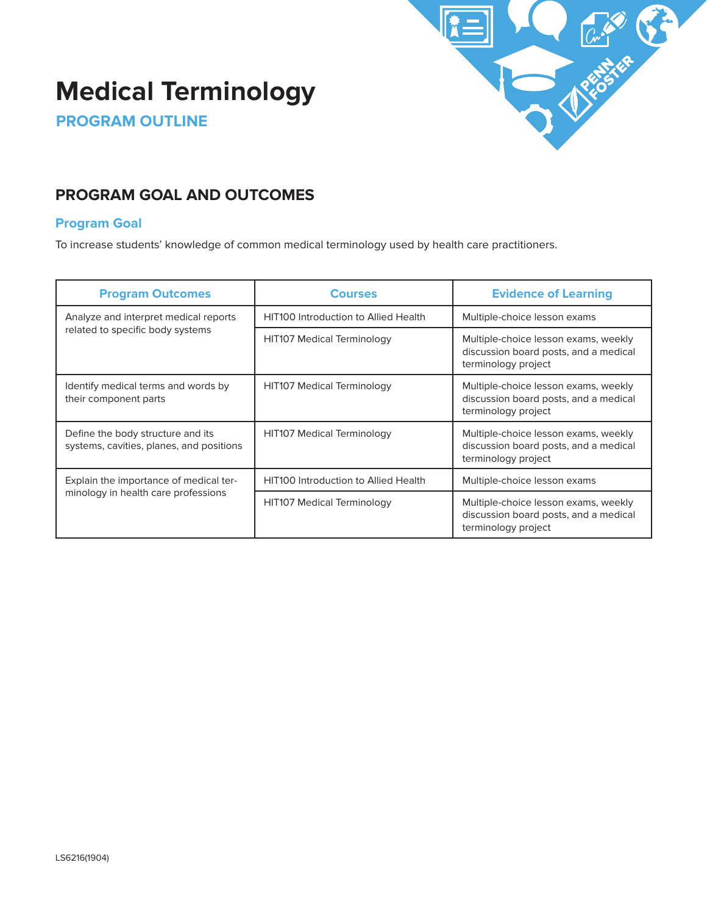

# **Medical Terminology**

**PROGRAM OUTLINE**

# **PROGRAM GOAL AND OUTCOMES**

## **Program Goal**

To increase students' knowledge of common medical terminology used by health care practitioners.

| <b>Program Outcomes</b>                                                       | <b>Courses</b>                              | <b>Evidence of Learning</b>                                                                          |
|-------------------------------------------------------------------------------|---------------------------------------------|------------------------------------------------------------------------------------------------------|
| Analyze and interpret medical reports<br>related to specific body systems     | <b>HIT100 Introduction to Allied Health</b> | Multiple-choice lesson exams                                                                         |
|                                                                               | <b>HIT107 Medical Terminology</b>           | Multiple-choice lesson exams, weekly<br>discussion board posts, and a medical<br>terminology project |
| Identify medical terms and words by<br>their component parts                  | <b>HIT107 Medical Terminology</b>           | Multiple-choice lesson exams, weekly<br>discussion board posts, and a medical<br>terminology project |
| Define the body structure and its<br>systems, cavities, planes, and positions | HIT107 Medical Terminology                  | Multiple-choice lesson exams, weekly<br>discussion board posts, and a medical<br>terminology project |
| Explain the importance of medical ter-<br>minology in health care professions | <b>HIT100 Introduction to Allied Health</b> | Multiple-choice lesson exams                                                                         |
|                                                                               | HIT107 Medical Terminology                  | Multiple-choice lesson exams, weekly<br>discussion board posts, and a medical<br>terminology project |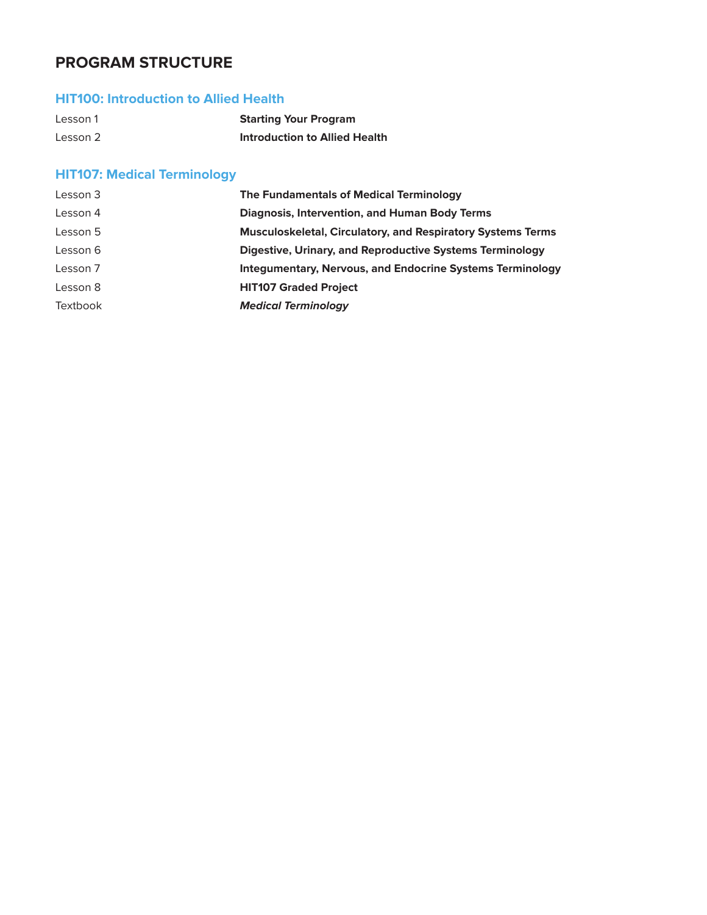# **PROGRAM STRUCTURE**

## **HIT100: Introduction to Allied Health**

| Lesson 1 | <b>Starting Your Program</b>         |
|----------|--------------------------------------|
| Lesson 2 | <b>Introduction to Allied Health</b> |

# **HIT107: Medical Terminology**

| Lesson 3 | The Fundamentals of Medical Terminology                            |
|----------|--------------------------------------------------------------------|
| Lesson 4 | <b>Diagnosis, Intervention, and Human Body Terms</b>               |
| Lesson 5 | <b>Musculoskeletal, Circulatory, and Respiratory Systems Terms</b> |
| Lesson 6 | Digestive, Urinary, and Reproductive Systems Terminology           |
| Lesson 7 | <b>Integumentary, Nervous, and Endocrine Systems Terminology</b>   |
| Lesson 8 | <b>HIT107 Graded Project</b>                                       |
| Textbook | <b>Medical Terminology</b>                                         |